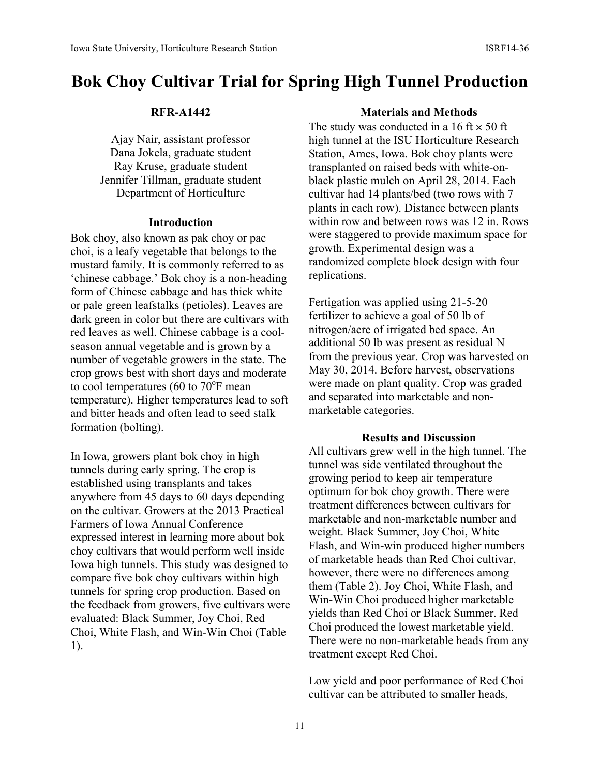## **RFR-A1442**

Ajay Nair, assistant professor Dana Jokela, graduate student Ray Kruse, graduate student Jennifer Tillman, graduate student Department of Horticulture

## **Introduction**

Bok choy, also known as pak choy or pac choi, is a leafy vegetable that belongs to the mustard family. It is commonly referred to as 'chinese cabbage.' Bok choy is a non-heading form of Chinese cabbage and has thick white or pale green leafstalks (petioles). Leaves are dark green in color but there are cultivars with red leaves as well. Chinese cabbage is a coolseason annual vegetable and is grown by a number of vegetable growers in the state. The crop grows best with short days and moderate to cool temperatures (60 to  $70^{\circ}$ F mean temperature). Higher temperatures lead to soft and bitter heads and often lead to seed stalk formation (bolting).

In Iowa, growers plant bok choy in high tunnels during early spring. The crop is established using transplants and takes anywhere from 45 days to 60 days depending on the cultivar. Growers at the 2013 Practical Farmers of Iowa Annual Conference expressed interest in learning more about bok choy cultivars that would perform well inside Iowa high tunnels. This study was designed to compare five bok choy cultivars within high tunnels for spring crop production. Based on the feedback from growers, five cultivars were evaluated: Black Summer, Joy Choi, Red Choi, White Flash, and Win-Win Choi (Table 1).

# **Materials and Methods**

The study was conducted in a 16 ft  $\times$  50 ft high tunnel at the ISU Horticulture Research Station, Ames, Iowa. Bok choy plants were transplanted on raised beds with white-onblack plastic mulch on April 28, 2014. Each cultivar had 14 plants/bed (two rows with 7 plants in each row). Distance between plants within row and between rows was 12 in. Rows were staggered to provide maximum space for growth. Experimental design was a randomized complete block design with four replications.

Fertigation was applied using 21-5-20 fertilizer to achieve a goal of 50 lb of nitrogen/acre of irrigated bed space. An additional 50 lb was present as residual N from the previous year. Crop was harvested on May 30, 2014. Before harvest, observations were made on plant quality. Crop was graded and separated into marketable and nonmarketable categories.

### **Results and Discussion**

All cultivars grew well in the high tunnel. The tunnel was side ventilated throughout the growing period to keep air temperature optimum for bok choy growth. There were treatment differences between cultivars for marketable and non-marketable number and weight. Black Summer, Joy Choi, White Flash, and Win-win produced higher numbers of marketable heads than Red Choi cultivar, however, there were no differences among them (Table 2). Joy Choi, White Flash, and Win-Win Choi produced higher marketable yields than Red Choi or Black Summer. Red Choi produced the lowest marketable yield. There were no non-marketable heads from any treatment except Red Choi.

Low yield and poor performance of Red Choi cultivar can be attributed to smaller heads,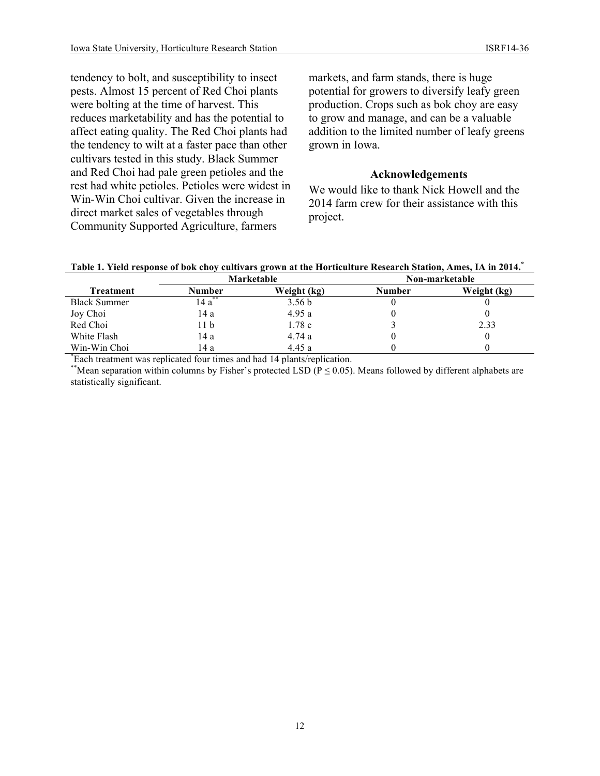tendency to bolt, and susceptibility to insect pests. Almost 15 percent of Red Choi plants were bolting at the time of harvest. This reduces marketability and has the potential to affect eating quality. The Red Choi plants had the tendency to wilt at a faster pace than other cultivars tested in this study. Black Summer and Red Choi had pale green petioles and the rest had white petioles. Petioles were widest in Win-Win Choi cultivar. Given the increase in direct market sales of vegetables through Community Supported Agriculture, farmers

markets, and farm stands, there is huge potential for growers to diversify leafy green production. Crops such as bok choy are easy to grow and manage, and can be a valuable addition to the limited number of leafy greens grown in Iowa.

### **Acknowledgements**

We would like to thank Nick Howell and the 2014 farm crew for their assistance with this project.

**Table 1. Yield response of bok choy cultivars grown at the Horticulture Research Station, Ames, IA in 2014.\***

|                     | Marketable  |                   | Non-marketable |             |
|---------------------|-------------|-------------------|----------------|-------------|
| Treatment           | Number      | Weight (kg)       | Number         | Weight (kg) |
| <b>Black Summer</b> | **<br>14 a` | 3.56 <sub>b</sub> |                |             |
| Joy Choi            | 14 a        | 4.95a             |                |             |
| Red Choi            | 11 b        | 1.78c             |                | 2.33        |
| White Flash         | 14 a        | 4.74 a            |                |             |
| Win-Win Choi        | 14 a        | 4.45 a            |                |             |

\* Each treatment was replicated four times and had 14 plants/replication.

\*\*Mean separation within columns by Fisher's protected LSD ( $P \le 0.05$ ). Means followed by different alphabets are statistically significant.